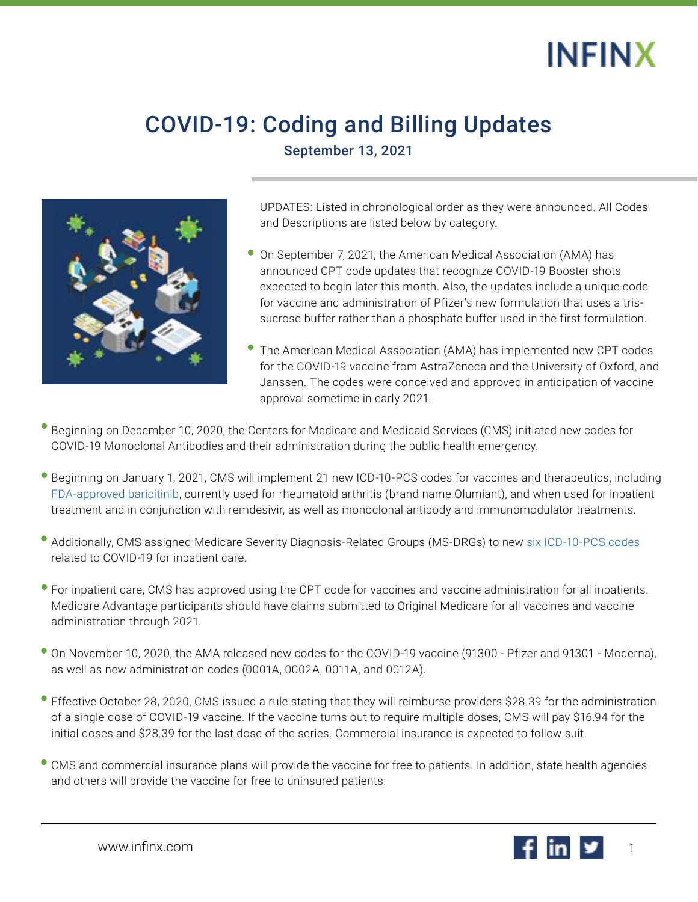### COVID-19: Coding and Billing Updates

September 13, 2021



UPDATES: Listed in chronological order as they were announced. All Codes and Descriptions are listed below by category.

- On September 7, 2021, the American Medical Association (AMA) has announced CPT code updates that recognize COVID-19 Booster shots expected to begin later this month. Also, the updates include a unique code for vaccine and administration of Pfizer's new formulation that uses a trissucrose buffer rather than a phosphate buffer used in the first formulation.
- The American Medical Association (AMA) has implemented new CPT codes for the COVID-19 vaccine from AstraZeneca and the University of Oxford, and Janssen. The codes were conceived and approved in anticipation of vaccine approval sometime in early 2021.
- Beginning on December 10, 2020, the Centers for Medicare and Medicaid Services (CMS) initiated new codes for COVID-19 Monoclonal Antibodies and their administration during the public health emergency.
- Beginning on January 1, 2021, CMS will implement 21 new ICD-10-PCS codes for vaccines and therapeutics, including [FDA-approved baricitinib](https://www.fda.gov/news-events/press-announcements/coronavirus-covid-19-update-fda-authorizes-drug-combination-treatment-covid-19), currently used for rheumatoid arthritis (brand name Olumiant), and when used for inpatient treatment and in conjunction with remdesivir, as well as monoclonal antibody and immunomodulator treatments.
- Additionally, CMS assigned Medicare Severity Diagnosis-Related Groups (MS-DRGs) to new [six ICD-10-PCS codes](https://www.healthleadersmedia.com/revenue-cycle/icd-10-committee-proposes-new-2021-icd-10-cm-codes-covid-19) related to COVID-19 for inpatient care.
- For inpatient care, CMS has approved using the CPT code for vaccines and vaccine administration for all inpatients. Medicare Advantage participants should have claims submitted to Original Medicare for all vaccines and vaccine administration through 2021.
- On November 10, 2020, the AMA released new codes for the COVID-19 vaccine (91300 Pfizer and 91301 Moderna), as well as new administration codes (0001A, 0002A, 0011A, and 0012A).
- Effective October 28, 2020, CMS issued a rule stating that they will reimburse providers \$28.39 for the administration of a single dose of COVID-19 vaccine. If the vaccine turns out to require multiple doses, CMS will pay \$16.94 for the initial doses and \$28.39 for the last dose of the series. Commercial insurance is expected to follow suit.
- CMS and commercial insurance plans will provide the vaccine for free to patients. In addition, state health agencies and others will provide the vaccine for free to uninsured patients.

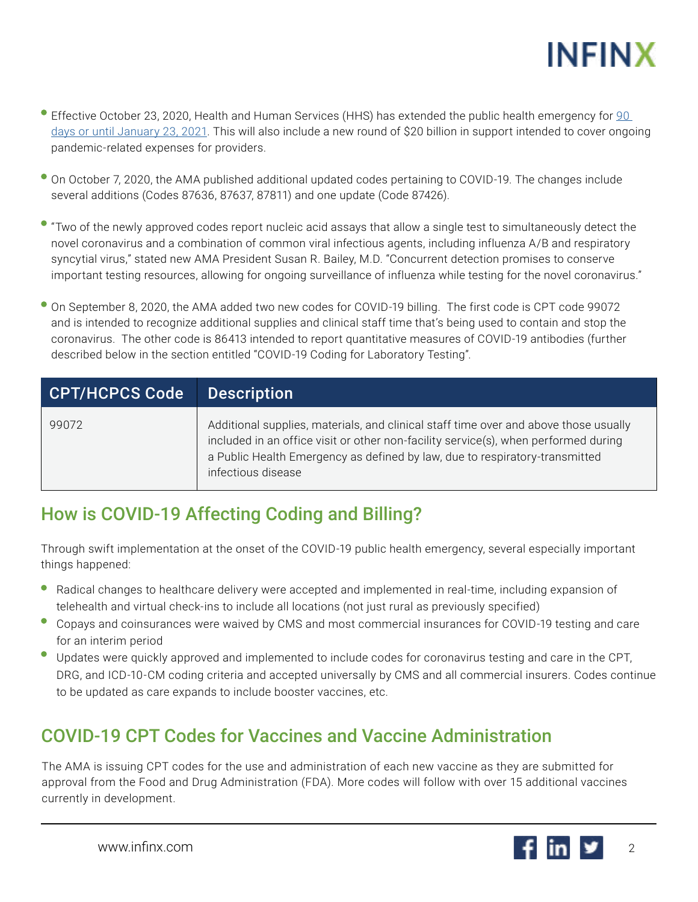

- Effective October 23, 2020, Health and Human Services (HHS) has extended the public health emergency for 90 [days or until January 23, 2021.](https://www.hfma.org/topics/news/2020/10/public-health-emergency-extended---20-billion-more-in-provider-a.html) This will also include a new round of \$20 billion in support intended to cover ongoing pandemic-related expenses for providers.
- On October 7, 2020, the AMA published additional updated codes pertaining to COVID-19. The changes include several additions (Codes 87636, 87637, 87811) and one update (Code 87426).
- "Two of the newly approved codes report nucleic acid assays that allow a single test to simultaneously detect the novel coronavirus and a combination of common viral infectious agents, including influenza A/B and respiratory syncytial virus," stated new AMA President Susan R. Bailey, M.D. "Concurrent detection promises to conserve important testing resources, allowing for ongoing surveillance of influenza while testing for the novel coronavirus."
- On September 8, 2020, the AMA added two new codes for COVID-19 billing. The first code is CPT code 99072 and is intended to recognize additional supplies and clinical staff time that's being used to contain and stop the coronavirus. The other code is 86413 intended to report quantitative measures of COVID-19 antibodies (further described below in the section entitled "COVID-19 Coding for Laboratory Testing".

| <b>CPT/HCPCS Code</b> | <b>Description</b>                                                                                                                                                                                                                                                               |
|-----------------------|----------------------------------------------------------------------------------------------------------------------------------------------------------------------------------------------------------------------------------------------------------------------------------|
| 99072                 | Additional supplies, materials, and clinical staff time over and above those usually<br>included in an office visit or other non-facility service(s), when performed during<br>a Public Health Emergency as defined by law, due to respiratory-transmitted<br>infectious disease |

#### How is COVID-19 Affecting Coding and Billing?

Through swift implementation at the onset of the COVID-19 public health emergency, several especially important things happened:

- Radical changes to healthcare delivery were accepted and implemented in real-time, including expansion of telehealth and virtual check-ins to include all locations (not just rural as previously specified)
- Copays and coinsurances were waived by CMS and most commercial insurances for COVID-19 testing and care for an interim period
- Updates were quickly approved and implemented to include codes for coronavirus testing and care in the CPT, DRG, and ICD-10-CM coding criteria and accepted universally by CMS and all commercial insurers. Codes continue to be updated as care expands to include booster vaccines, etc.

#### COVID-19 CPT Codes for Vaccines and Vaccine Administration

The AMA is issuing CPT codes for the use and administration of each new vaccine as they are submitted for approval from the Food and Drug Administration (FDA). More codes will follow with over 15 additional vaccines currently in development.

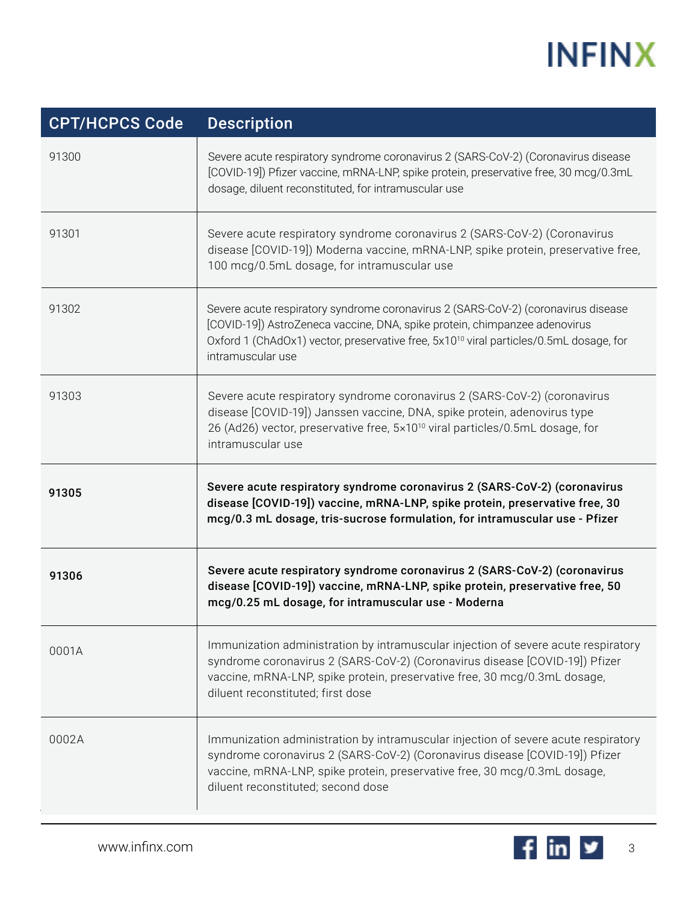| <b>CPT/HCPCS Code</b> | <b>Description</b>                                                                                                                                                                                                                                                                         |
|-----------------------|--------------------------------------------------------------------------------------------------------------------------------------------------------------------------------------------------------------------------------------------------------------------------------------------|
| 91300                 | Severe acute respiratory syndrome coronavirus 2 (SARS-CoV-2) (Coronavirus disease<br>[COVID-19]) Pfizer vaccine, mRNA-LNP, spike protein, preservative free, 30 mcg/0.3mL<br>dosage, diluent reconstituted, for intramuscular use                                                          |
| 91301                 | Severe acute respiratory syndrome coronavirus 2 (SARS-CoV-2) (Coronavirus<br>disease [COVID-19]) Moderna vaccine, mRNA-LNP, spike protein, preservative free,<br>100 mcg/0.5mL dosage, for intramuscular use                                                                               |
| 91302                 | Severe acute respiratory syndrome coronavirus 2 (SARS-CoV-2) (coronavirus disease<br>[COVID-19]) AstroZeneca vaccine, DNA, spike protein, chimpanzee adenovirus<br>Oxford 1 (ChAdOx1) vector, preservative free, 5x10 <sup>10</sup> viral particles/0.5mL dosage, for<br>intramuscular use |
| 91303                 | Severe acute respiratory syndrome coronavirus 2 (SARS-CoV-2) (coronavirus<br>disease [COVID-19]) Janssen vaccine, DNA, spike protein, adenovirus type<br>26 (Ad26) vector, preservative free, 5×10 <sup>10</sup> viral particles/0.5mL dosage, for<br>intramuscular use                    |
| 91305                 | Severe acute respiratory syndrome coronavirus 2 (SARS-CoV-2) (coronavirus<br>disease [COVID-19]) vaccine, mRNA-LNP, spike protein, preservative free, 30<br>mcg/0.3 mL dosage, tris-sucrose formulation, for intramuscular use - Pfizer                                                    |
| 91306                 | Severe acute respiratory syndrome coronavirus 2 (SARS-CoV-2) (coronavirus<br>disease [COVID-19]) vaccine, mRNA-LNP, spike protein, preservative free, 50<br>mcg/0.25 mL dosage, for intramuscular use - Moderna                                                                            |
| 0001A                 | Immunization administration by intramuscular injection of severe acute respiratory<br>syndrome coronavirus 2 (SARS-CoV-2) (Coronavirus disease [COVID-19]) Pfizer<br>vaccine, mRNA-LNP, spike protein, preservative free, 30 mcg/0.3mL dosage,<br>diluent reconstituted; first dose        |
| 0002A                 | Immunization administration by intramuscular injection of severe acute respiratory<br>syndrome coronavirus 2 (SARS-CoV-2) (Coronavirus disease [COVID-19]) Pfizer<br>vaccine, mRNA-LNP, spike protein, preservative free, 30 mcg/0.3mL dosage,<br>diluent reconstituted; second dose       |

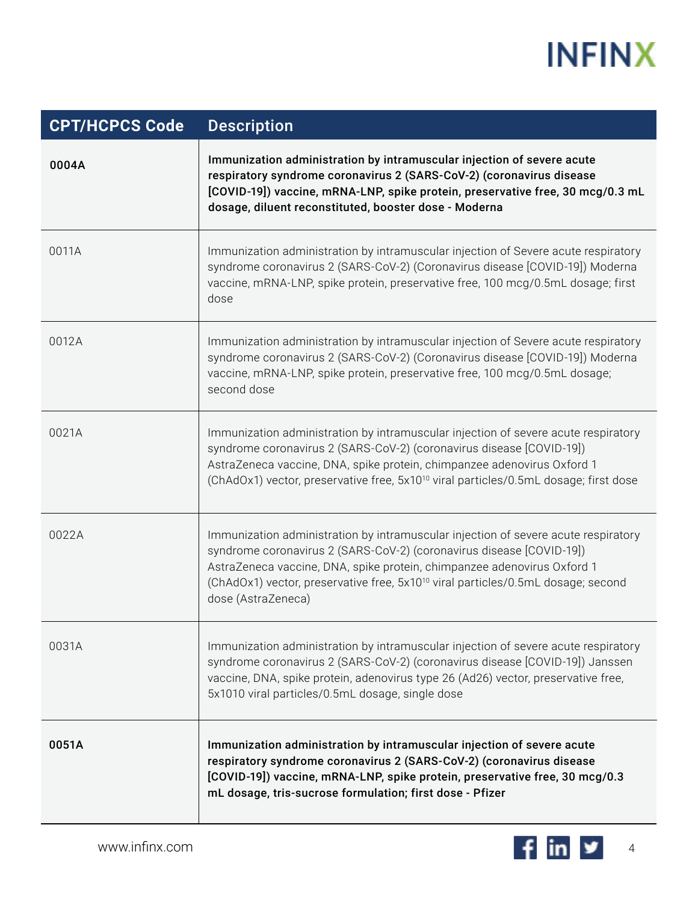| <b>CPT/HCPCS Code</b> | <b>Description</b>                                                                                                                                                                                                                                                                                                                                          |
|-----------------------|-------------------------------------------------------------------------------------------------------------------------------------------------------------------------------------------------------------------------------------------------------------------------------------------------------------------------------------------------------------|
| 0004A                 | Immunization administration by intramuscular injection of severe acute<br>respiratory syndrome coronavirus 2 (SARS-CoV-2) (coronavirus disease<br>[COVID-19]) vaccine, mRNA-LNP, spike protein, preservative free, 30 mcg/0.3 mL<br>dosage, diluent reconstituted, booster dose - Moderna                                                                   |
| 0011A                 | Immunization administration by intramuscular injection of Severe acute respiratory<br>syndrome coronavirus 2 (SARS-CoV-2) (Coronavirus disease [COVID-19]) Moderna<br>vaccine, mRNA-LNP, spike protein, preservative free, 100 mcg/0.5mL dosage; first<br>dose                                                                                              |
| 0012A                 | Immunization administration by intramuscular injection of Severe acute respiratory<br>syndrome coronavirus 2 (SARS-CoV-2) (Coronavirus disease [COVID-19]) Moderna<br>vaccine, mRNA-LNP, spike protein, preservative free, 100 mcg/0.5mL dosage;<br>second dose                                                                                             |
| 0021A                 | Immunization administration by intramuscular injection of severe acute respiratory<br>syndrome coronavirus 2 (SARS-CoV-2) (coronavirus disease [COVID-19])<br>AstraZeneca vaccine, DNA, spike protein, chimpanzee adenovirus Oxford 1<br>(ChAdOx1) vector, preservative free, 5x10 <sup>10</sup> viral particles/0.5mL dosage; first dose                   |
| 0022A                 | Immunization administration by intramuscular injection of severe acute respiratory<br>syndrome coronavirus 2 (SARS-CoV-2) (coronavirus disease [COVID-19])<br>AstraZeneca vaccine, DNA, spike protein, chimpanzee adenovirus Oxford 1<br>(ChAdOx1) vector, preservative free, 5x10 <sup>10</sup> viral particles/0.5mL dosage; second<br>dose (AstraZeneca) |
| 0031A                 | Immunization administration by intramuscular injection of severe acute respiratory<br>syndrome coronavirus 2 (SARS-CoV-2) (coronavirus disease [COVID-19]) Janssen<br>vaccine, DNA, spike protein, adenovirus type 26 (Ad26) vector, preservative free,<br>5x1010 viral particles/0.5mL dosage, single dose                                                 |
| 0051A                 | Immunization administration by intramuscular injection of severe acute<br>respiratory syndrome coronavirus 2 (SARS-CoV-2) (coronavirus disease<br>[COVID-19]) vaccine, mRNA-LNP, spike protein, preservative free, 30 mcg/0.3<br>mL dosage, tris-sucrose formulation; first dose - Pfizer                                                                   |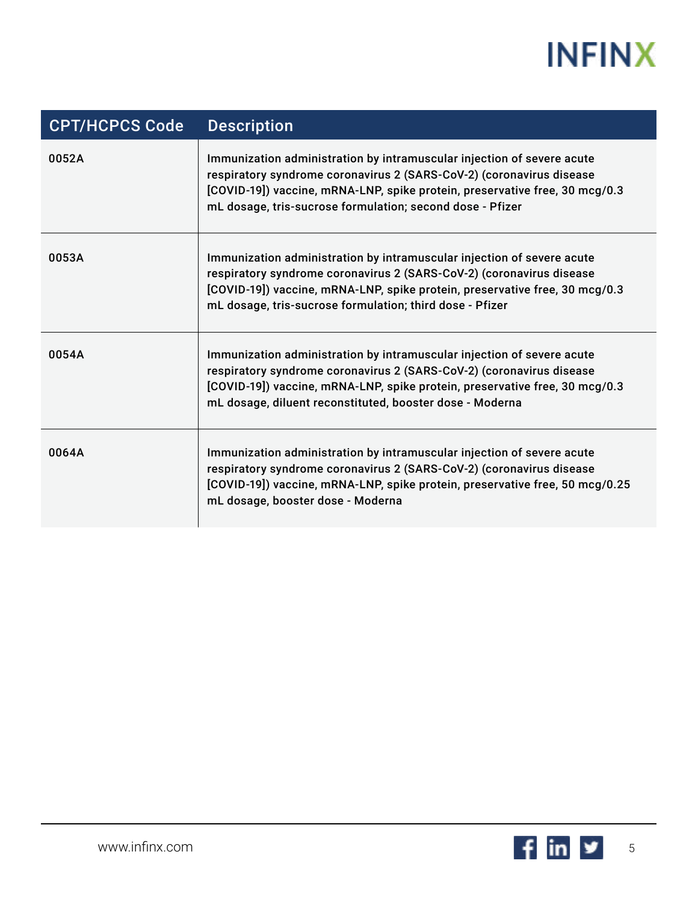| <b>CPT/HCPCS Code</b> | <b>Description</b>                                                                                                                                                                                                                                                                         |
|-----------------------|--------------------------------------------------------------------------------------------------------------------------------------------------------------------------------------------------------------------------------------------------------------------------------------------|
| 0052A                 | Immunization administration by intramuscular injection of severe acute<br>respiratory syndrome coronavirus 2 (SARS-CoV-2) (coronavirus disease<br>[COVID-19]) vaccine, mRNA-LNP, spike protein, preservative free, 30 mcg/0.3<br>mL dosage, tris-sucrose formulation; second dose - Pfizer |
| 0053A                 | Immunization administration by intramuscular injection of severe acute<br>respiratory syndrome coronavirus 2 (SARS-CoV-2) (coronavirus disease<br>[COVID-19]) vaccine, mRNA-LNP, spike protein, preservative free, 30 mcg/0.3<br>mL dosage, tris-sucrose formulation; third dose - Pfizer  |
| 0054A                 | Immunization administration by intramuscular injection of severe acute<br>respiratory syndrome coronavirus 2 (SARS-CoV-2) (coronavirus disease<br>[COVID-19]) vaccine, mRNA-LNP, spike protein, preservative free, 30 mcg/0.3<br>mL dosage, diluent reconstituted, booster dose - Moderna  |
| 0064A                 | Immunization administration by intramuscular injection of severe acute<br>respiratory syndrome coronavirus 2 (SARS-CoV-2) (coronavirus disease<br>[COVID-19]) vaccine, mRNA-LNP, spike protein, preservative free, 50 mcg/0.25<br>mL dosage, booster dose - Moderna                        |

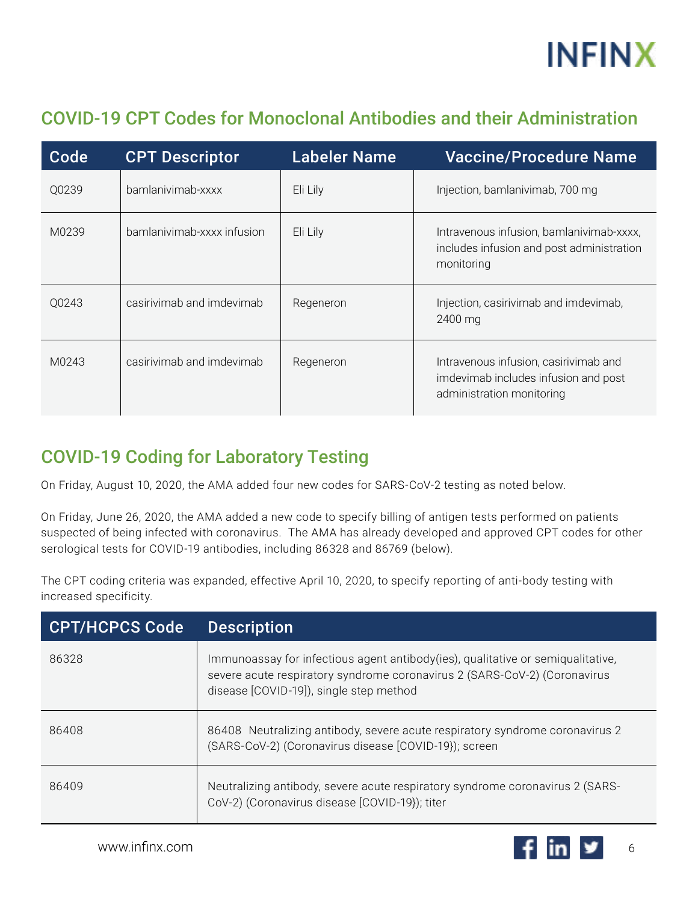

#### COVID-19 CPT Codes for Monoclonal Antibodies and their Administration

| Code  | <b>CPT Descriptor</b>      | <b>Labeler Name</b> | <b>Vaccine/Procedure Name</b>                                                                              |
|-------|----------------------------|---------------------|------------------------------------------------------------------------------------------------------------|
| Q0239 | bamlaniyimab-xxxx          | Eli Lily            | Injection, bamlanivimab, 700 mg                                                                            |
| M0239 | bamlanivimab-xxxx infusion | Eli Lily            | Intravenous infusion, bamlanivimab-xxxx,<br>includes infusion and post administration<br>monitoring        |
| Q0243 | casirivimab and imdevimab  | Regeneron           | Injection, casirivimab and imdevimab,<br>2400 mg                                                           |
| M0243 | casirivimab and imdevimab  | Regeneron           | Intravenous infusion, casirivimab and<br>imdevimab includes infusion and post<br>administration monitoring |

#### COVID-19 Coding for Laboratory Testing

On Friday, August 10, 2020, the AMA added four new codes for SARS-CoV-2 testing as noted below.

On Friday, June 26, 2020, the AMA added a new code to specify billing of antigen tests performed on patients suspected of being infected with coronavirus. The AMA has already developed and approved CPT codes for other serological tests for COVID-19 antibodies, including 86328 and 86769 (below).

The CPT coding criteria was expanded, effective April 10, 2020, to specify reporting of anti-body testing with increased specificity.

| <b>CPT/HCPCS Code</b> | <b>Description</b>                                                                                                                                                                                      |
|-----------------------|---------------------------------------------------------------------------------------------------------------------------------------------------------------------------------------------------------|
| 86328                 | Immunoassay for infectious agent antibody(ies), qualitative or semiqualitative,<br>severe acute respiratory syndrome coronavirus 2 (SARS-CoV-2) (Coronavirus<br>disease [COVID-19]), single step method |
| 86408                 | 86408 Neutralizing antibody, severe acute respiratory syndrome coronavirus 2<br>(SARS-CoV-2) (Coronavirus disease [COVID-19}); screen                                                                   |
| 86409                 | Neutralizing antibody, severe acute respiratory syndrome coronavirus 2 (SARS-<br>CoV-2) (Coronavirus disease [COVID-19}); titer                                                                         |

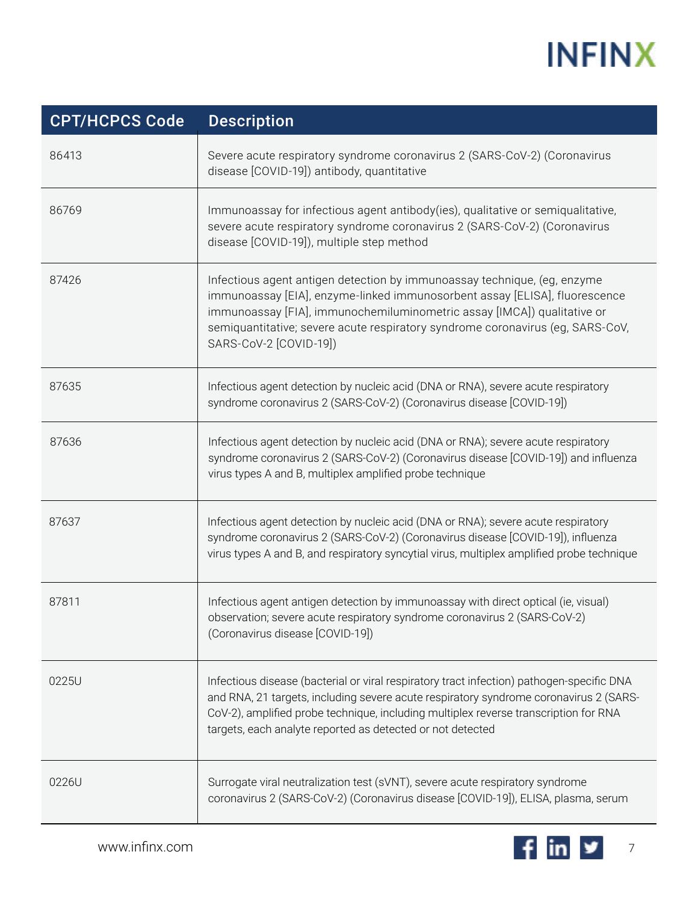| <b>CPT/HCPCS Code</b> | <b>Description</b>                                                                                                                                                                                                                                                                                                                            |
|-----------------------|-----------------------------------------------------------------------------------------------------------------------------------------------------------------------------------------------------------------------------------------------------------------------------------------------------------------------------------------------|
| 86413                 | Severe acute respiratory syndrome coronavirus 2 (SARS-CoV-2) (Coronavirus<br>disease [COVID-19]) antibody, quantitative                                                                                                                                                                                                                       |
| 86769                 | Immunoassay for infectious agent antibody(ies), qualitative or semiqualitative,<br>severe acute respiratory syndrome coronavirus 2 (SARS-CoV-2) (Coronavirus<br>disease [COVID-19]), multiple step method                                                                                                                                     |
| 87426                 | Infectious agent antigen detection by immunoassay technique, (eg, enzyme<br>immunoassay [EIA], enzyme-linked immunosorbent assay [ELISA], fluorescence<br>immunoassay [FIA], immunochemiluminometric assay [IMCA]) qualitative or<br>semiquantitative; severe acute respiratory syndrome coronavirus (eg, SARS-CoV,<br>SARS-CoV-2 [COVID-19]) |
| 87635                 | Infectious agent detection by nucleic acid (DNA or RNA), severe acute respiratory<br>syndrome coronavirus 2 (SARS-CoV-2) (Coronavirus disease [COVID-19])                                                                                                                                                                                     |
| 87636                 | Infectious agent detection by nucleic acid (DNA or RNA); severe acute respiratory<br>syndrome coronavirus 2 (SARS-CoV-2) (Coronavirus disease [COVID-19]) and influenza<br>virus types A and B, multiplex amplified probe technique                                                                                                           |
| 87637                 | Infectious agent detection by nucleic acid (DNA or RNA); severe acute respiratory<br>syndrome coronavirus 2 (SARS-CoV-2) (Coronavirus disease [COVID-19]), influenza<br>virus types A and B, and respiratory syncytial virus, multiplex amplified probe technique                                                                             |
| 87811                 | Infectious agent antigen detection by immunoassay with direct optical (ie, visual)<br>observation; severe acute respiratory syndrome coronavirus 2 (SARS-CoV-2)<br>(Coronavirus disease [COVID-19])                                                                                                                                           |
| 0225U                 | Infectious disease (bacterial or viral respiratory tract infection) pathogen-specific DNA<br>and RNA, 21 targets, including severe acute respiratory syndrome coronavirus 2 (SARS-<br>CoV-2), amplified probe technique, including multiplex reverse transcription for RNA<br>targets, each analyte reported as detected or not detected      |
| 0226U                 | Surrogate viral neutralization test (sVNT), severe acute respiratory syndrome<br>coronavirus 2 (SARS-CoV-2) (Coronavirus disease [COVID-19]), ELISA, plasma, serum                                                                                                                                                                            |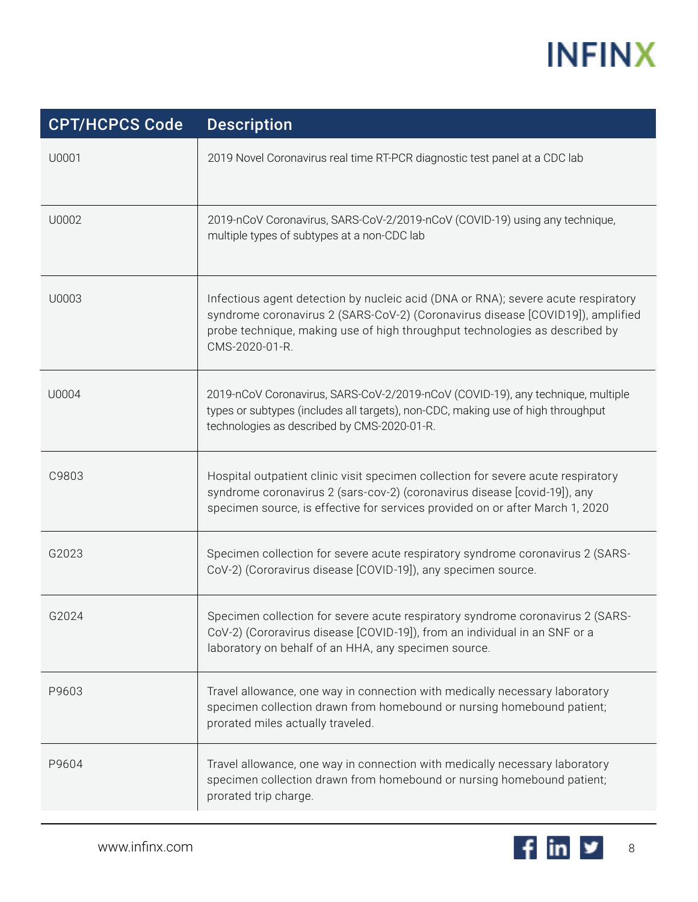| <b>CPT/HCPCS Code</b> | <b>Description</b>                                                                                                                                                                                                                                                   |
|-----------------------|----------------------------------------------------------------------------------------------------------------------------------------------------------------------------------------------------------------------------------------------------------------------|
| U0001                 | 2019 Novel Coronavirus real time RT-PCR diagnostic test panel at a CDC lab                                                                                                                                                                                           |
| U0002                 | 2019-nCoV Coronavirus, SARS-CoV-2/2019-nCoV (COVID-19) using any technique,<br>multiple types of subtypes at a non-CDC lab                                                                                                                                           |
| U0003                 | Infectious agent detection by nucleic acid (DNA or RNA); severe acute respiratory<br>syndrome coronavirus 2 (SARS-CoV-2) (Coronavirus disease [COVID19]), amplified<br>probe technique, making use of high throughput technologies as described by<br>CMS-2020-01-R. |
| U0004                 | 2019-nCoV Coronavirus, SARS-CoV-2/2019-nCoV (COVID-19), any technique, multiple<br>types or subtypes (includes all targets), non-CDC, making use of high throughput<br>technologies as described by CMS-2020-01-R.                                                   |
| C9803                 | Hospital outpatient clinic visit specimen collection for severe acute respiratory<br>syndrome coronavirus 2 (sars-cov-2) (coronavirus disease [covid-19]), any<br>specimen source, is effective for services provided on or after March 1, 2020                      |
| G2023                 | Specimen collection for severe acute respiratory syndrome coronavirus 2 (SARS-<br>CoV-2) (Cororavirus disease [COVID-19]), any specimen source.                                                                                                                      |
| G2024                 | Specimen collection for severe acute respiratory syndrome coronavirus 2 (SARS-<br>CoV-2) (Cororavirus disease [COVID-19]), from an individual in an SNF or a<br>laboratory on behalf of an HHA, any specimen source.                                                 |
| P9603                 | Travel allowance, one way in connection with medically necessary laboratory<br>specimen collection drawn from homebound or nursing homebound patient;<br>prorated miles actually traveled.                                                                           |
| P9604                 | Travel allowance, one way in connection with medically necessary laboratory<br>specimen collection drawn from homebound or nursing homebound patient;<br>prorated trip charge.                                                                                       |

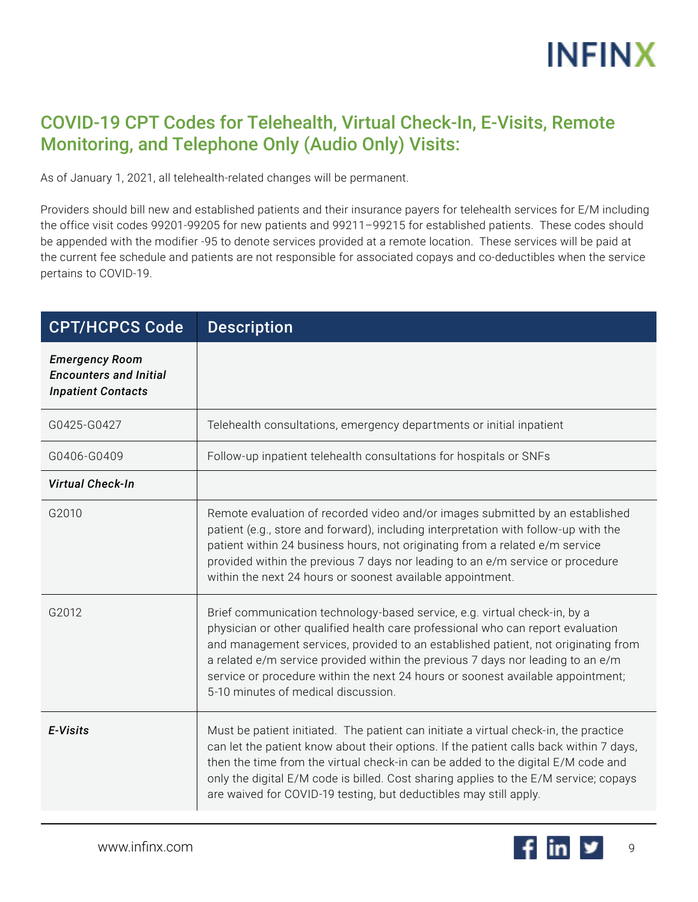

#### COVID-19 CPT Codes for Telehealth, Virtual Check-In, E-Visits, Remote Monitoring, and Telephone Only (Audio Only) Visits:

As of January 1, 2021, all telehealth-related changes will be permanent.

Providers should bill new and established patients and their insurance payers for telehealth services for E/M including the office visit codes 99201-99205 for new patients and 99211–99215 for established patients. These codes should be appended with the modifier -95 to denote services provided at a remote location. These services will be paid at the current fee schedule and patients are not responsible for associated copays and co-deductibles when the service pertains to COVID-19.

| <b>CPT/HCPCS Code</b>                                                               | <b>Description</b>                                                                                                                                                                                                                                                                                                                                                                                                                                             |
|-------------------------------------------------------------------------------------|----------------------------------------------------------------------------------------------------------------------------------------------------------------------------------------------------------------------------------------------------------------------------------------------------------------------------------------------------------------------------------------------------------------------------------------------------------------|
| <b>Emergency Room</b><br><b>Encounters and Initial</b><br><b>Inpatient Contacts</b> |                                                                                                                                                                                                                                                                                                                                                                                                                                                                |
| G0425-G0427                                                                         | Telehealth consultations, emergency departments or initial inpatient                                                                                                                                                                                                                                                                                                                                                                                           |
| G0406-G0409                                                                         | Follow-up inpatient telehealth consultations for hospitals or SNFs                                                                                                                                                                                                                                                                                                                                                                                             |
| <b>Virtual Check-In</b>                                                             |                                                                                                                                                                                                                                                                                                                                                                                                                                                                |
| G2010                                                                               | Remote evaluation of recorded video and/or images submitted by an established<br>patient (e.g., store and forward), including interpretation with follow-up with the<br>patient within 24 business hours, not originating from a related e/m service<br>provided within the previous 7 days nor leading to an e/m service or procedure<br>within the next 24 hours or soonest available appointment.                                                           |
| G2012                                                                               | Brief communication technology-based service, e.g. virtual check-in, by a<br>physician or other qualified health care professional who can report evaluation<br>and management services, provided to an established patient, not originating from<br>a related e/m service provided within the previous 7 days nor leading to an e/m<br>service or procedure within the next 24 hours or soonest available appointment;<br>5-10 minutes of medical discussion. |
| E-Visits                                                                            | Must be patient initiated. The patient can initiate a virtual check-in, the practice<br>can let the patient know about their options. If the patient calls back within 7 days,<br>then the time from the virtual check-in can be added to the digital E/M code and<br>only the digital E/M code is billed. Cost sharing applies to the E/M service; copays<br>are waived for COVID-19 testing, but deductibles may still apply.                                |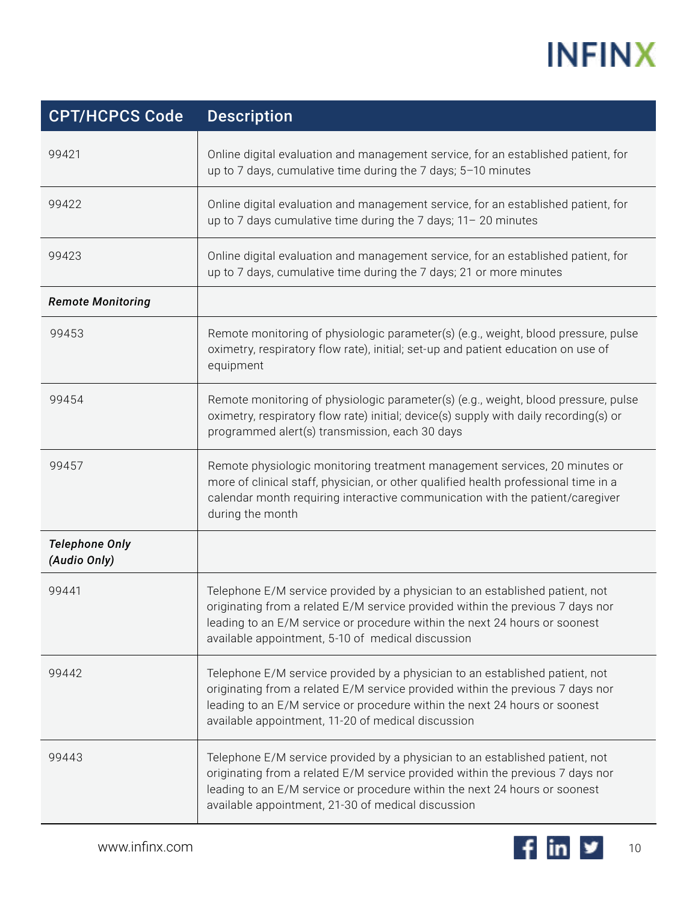| <b>CPT/HCPCS Code</b>                 | <b>Description</b>                                                                                                                                                                                                                                                                                 |  |  |  |  |  |
|---------------------------------------|----------------------------------------------------------------------------------------------------------------------------------------------------------------------------------------------------------------------------------------------------------------------------------------------------|--|--|--|--|--|
| 99421                                 | Online digital evaluation and management service, for an established patient, for<br>up to 7 days, cumulative time during the 7 days; 5-10 minutes                                                                                                                                                 |  |  |  |  |  |
| 99422                                 | Online digital evaluation and management service, for an established patient, for<br>up to 7 days cumulative time during the 7 days; 11-20 minutes                                                                                                                                                 |  |  |  |  |  |
| 99423                                 | Online digital evaluation and management service, for an established patient, for<br>up to 7 days, cumulative time during the 7 days; 21 or more minutes                                                                                                                                           |  |  |  |  |  |
| <b>Remote Monitoring</b>              |                                                                                                                                                                                                                                                                                                    |  |  |  |  |  |
| 99453                                 | Remote monitoring of physiologic parameter(s) (e.g., weight, blood pressure, pulse<br>oximetry, respiratory flow rate), initial; set-up and patient education on use of<br>equipment                                                                                                               |  |  |  |  |  |
| 99454                                 | Remote monitoring of physiologic parameter(s) (e.g., weight, blood pressure, pulse<br>oximetry, respiratory flow rate) initial; device(s) supply with daily recording(s) or<br>programmed alert(s) transmission, each 30 days                                                                      |  |  |  |  |  |
| 99457                                 | Remote physiologic monitoring treatment management services, 20 minutes or<br>more of clinical staff, physician, or other qualified health professional time in a<br>calendar month requiring interactive communication with the patient/caregiver<br>during the month                             |  |  |  |  |  |
| <b>Telephone Only</b><br>(Audio Only) |                                                                                                                                                                                                                                                                                                    |  |  |  |  |  |
| 99441                                 | Telephone E/M service provided by a physician to an established patient, not<br>originating from a related E/M service provided within the previous 7 days nor<br>leading to an E/M service or procedure within the next 24 hours or soonest<br>available appointment, 5-10 of medical discussion  |  |  |  |  |  |
| 99442                                 | Telephone E/M service provided by a physician to an established patient, not<br>originating from a related E/M service provided within the previous 7 days nor<br>leading to an E/M service or procedure within the next 24 hours or soonest<br>available appointment, 11-20 of medical discussion |  |  |  |  |  |
| 99443                                 | Telephone E/M service provided by a physician to an established patient, not<br>originating from a related E/M service provided within the previous 7 days nor<br>leading to an E/M service or procedure within the next 24 hours or soonest<br>available appointment, 21-30 of medical discussion |  |  |  |  |  |

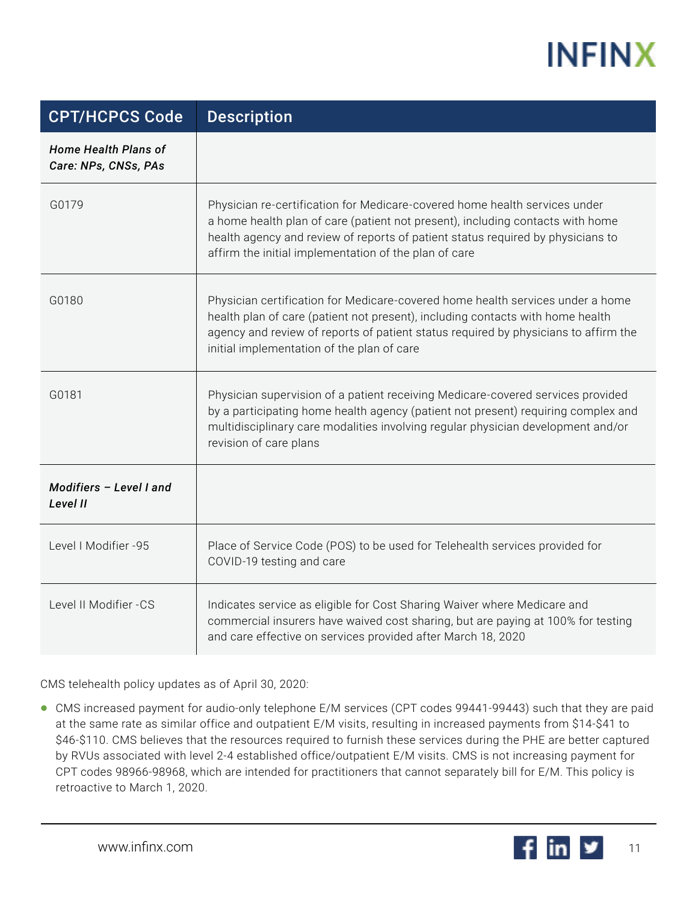| <b>CPT/HCPCS Code</b>                               | <b>Description</b>                                                                                                                                                                                                                                                                                       |
|-----------------------------------------------------|----------------------------------------------------------------------------------------------------------------------------------------------------------------------------------------------------------------------------------------------------------------------------------------------------------|
| <b>Home Health Plans of</b><br>Care: NPs, CNSs, PAs |                                                                                                                                                                                                                                                                                                          |
| G0179                                               | Physician re-certification for Medicare-covered home health services under<br>a home health plan of care (patient not present), including contacts with home<br>health agency and review of reports of patient status required by physicians to<br>affirm the initial implementation of the plan of care |
| G0180                                               | Physician certification for Medicare-covered home health services under a home<br>health plan of care (patient not present), including contacts with home health<br>agency and review of reports of patient status required by physicians to affirm the<br>initial implementation of the plan of care    |
| G0181                                               | Physician supervision of a patient receiving Medicare-covered services provided<br>by a participating home health agency (patient not present) requiring complex and<br>multidisciplinary care modalities involving regular physician development and/or<br>revision of care plans                       |
| Modifiers - Level I and<br>Level II                 |                                                                                                                                                                                                                                                                                                          |
| Level   Modifier -95                                | Place of Service Code (POS) to be used for Telehealth services provided for<br>COVID-19 testing and care                                                                                                                                                                                                 |
| Level II Modifier -CS                               | Indicates service as eligible for Cost Sharing Waiver where Medicare and<br>commercial insurers have waived cost sharing, but are paying at 100% for testing<br>and care effective on services provided after March 18, 2020                                                                             |

CMS telehealth policy updates as of April 30, 2020:

CMS increased payment for audio-only telephone E/M services (CPT codes 99441-99443) such that they are paid at the same rate as similar office and outpatient E/M visits, resulting in increased payments from \$14-\$41 to \$46-\$110. CMS believes that the resources required to furnish these services during the PHE are better captured by RVUs associated with level 2-4 established office/outpatient E/M visits. CMS is not increasing payment for CPT codes 98966-98968, which are intended for practitioners that cannot separately bill for E/M. This policy is retroactive to March 1, 2020.

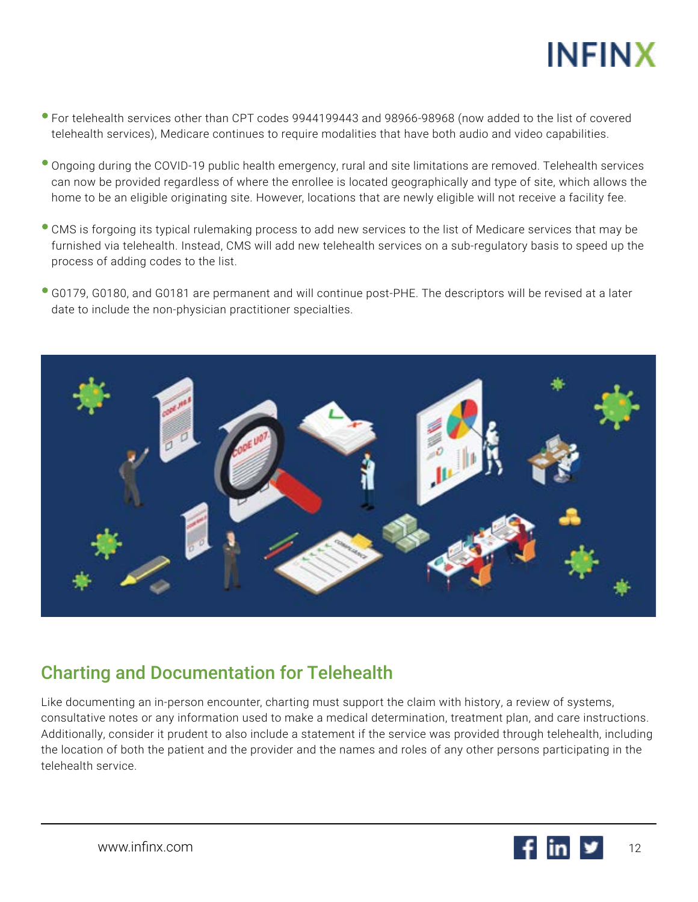

- For telehealth services other than CPT codes 9944199443 and 98966-98968 (now added to the list of covered telehealth services), Medicare continues to require modalities that have both audio and video capabilities.
- Ongoing during the COVID-19 public health emergency, rural and site limitations are removed. Telehealth services can now be provided regardless of where the enrollee is located geographically and type of site, which allows the home to be an eligible originating site. However, locations that are newly eligible will not receive a facility fee.
- CMS is forgoing its typical rulemaking process to add new services to the list of Medicare services that may be furnished via telehealth. Instead, CMS will add new telehealth services on a sub-regulatory basis to speed up the process of adding codes to the list.
- G0179, G0180, and G0181 are permanent and will continue post-PHE. The descriptors will be revised at a later date to include the non-physician practitioner specialties.



#### Charting and Documentation for Telehealth

Like documenting an in-person encounter, charting must support the claim with history, a review of systems, consultative notes or any information used to make a medical determination, treatment plan, and care instructions. Additionally, consider it prudent to also include a statement if the service was provided through telehealth, including the location of both the patient and the provider and the names and roles of any other persons participating in the telehealth service.

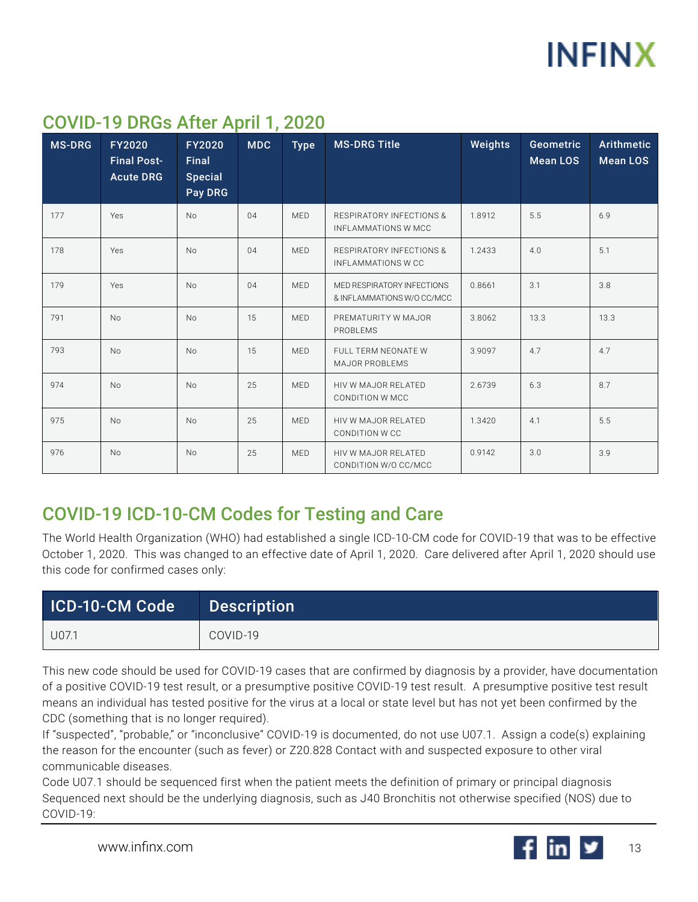| <b>MS-DRG</b> | <b>FY2020</b><br><b>Final Post-</b><br><b>Acute DRG</b> | <b>FY2020</b><br>Final<br><b>Special</b><br><b>Pay DRG</b> | <b>MDC</b> | <b>Type</b> | <b>MS-DRG Title</b>                                        | <b>Weights</b> | Geometric<br><b>Mean LOS</b> | Arithmetic<br>Mean LOS |
|---------------|---------------------------------------------------------|------------------------------------------------------------|------------|-------------|------------------------------------------------------------|----------------|------------------------------|------------------------|
| 177           | Yes                                                     | <b>No</b>                                                  | 04         | <b>MED</b>  | <b>RESPIRATORY INFECTIONS &amp;</b><br>INFLAMMATIONS W MCC | 1.8912         | 5.5                          | 6.9                    |
| 178           | Yes                                                     | <b>No</b>                                                  | 04         | <b>MED</b>  | <b>RESPIRATORY INFECTIONS &amp;</b><br>INFLAMMATIONS W CC  | 1.2433         | 4.0                          | 5.1                    |
| 179           | Yes                                                     | <b>No</b>                                                  | 04         | <b>MED</b>  | MED RESPIRATORY INFECTIONS<br>& INFLAMMATIONS W/O CC/MCC   | 0.8661         | 3.1                          | 3.8                    |
| 791           | <b>No</b>                                               | <b>No</b>                                                  | 15         | <b>MED</b>  | PREMATURITY W MAJOR<br>PROBLEMS                            | 3.8062         | 13.3                         | 13.3                   |
| 793           | <b>No</b>                                               | <b>No</b>                                                  | 15         | <b>MED</b>  | FULL TERM NEONATE W<br><b>MAJOR PROBLEMS</b>               | 3.9097         | 4.7                          | 4.7                    |
| 974           | <b>No</b>                                               | <b>No</b>                                                  | 25         | <b>MED</b>  | HIV W MAJOR RELATED<br>CONDITION W MCC                     | 2.6739         | 6.3                          | 8.7                    |
| 975           | <b>No</b>                                               | <b>No</b>                                                  | 25         | <b>MED</b>  | HIV W MAJOR RELATED<br>CONDITION W CC                      | 1.3420         | 4.1                          | 5.5                    |
| 976           | <b>No</b>                                               | <b>No</b>                                                  | 25         | <b>MED</b>  | HIV W MAJOR RELATED<br>CONDITION W/O CC/MCC                | 0.9142         | 3.0                          | 3.9                    |

#### COVID-19 DRGs After April 1, 2020

#### COVID-19 ICD-10-CM Codes for Testing and Care

The World Health Organization (WHO) had established a single ICD-10-CM code for COVID-19 that was to be effective October 1, 2020. This was changed to an effective date of April 1, 2020. Care delivered after April 1, 2020 should use this code for confirmed cases only:

| ICD-10-CM Code | <b>Description</b> |
|----------------|--------------------|
| U07.1          | COVID-19           |

This new code should be used for COVID-19 cases that are confirmed by diagnosis by a provider, have documentation of a positive COVID-19 test result, or a presumptive positive COVID-19 test result. A presumptive positive test result means an individual has tested positive for the virus at a local or state level but has not yet been confirmed by the CDC (something that is no longer required).

If "suspected", "probable," or "inconclusive" COVID-19 is documented, do not use U07.1. Assign a code(s) explaining the reason for the encounter (such as fever) or Z20.828 Contact with and suspected exposure to other viral communicable diseases.

Code U07.1 should be sequenced first when the patient meets the definition of primary or principal diagnosis Sequenced next should be the underlying diagnosis, such as J40 Bronchitis not otherwise specified (NOS) due to COVID-19:

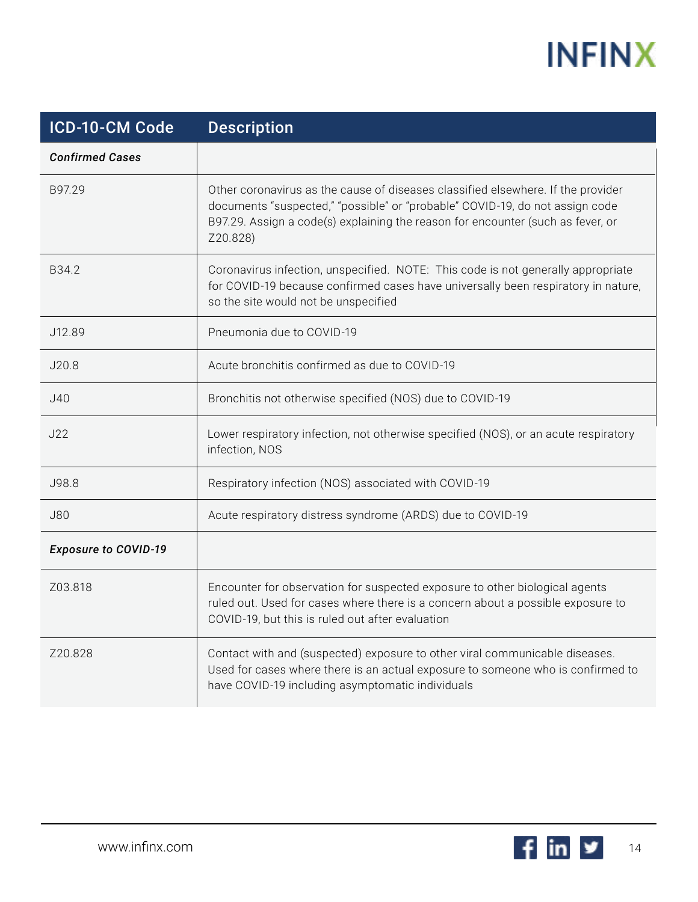| ICD-10-CM Code              | <b>Description</b>                                                                                                                                                                                                                                              |
|-----------------------------|-----------------------------------------------------------------------------------------------------------------------------------------------------------------------------------------------------------------------------------------------------------------|
| <b>Confirmed Cases</b>      |                                                                                                                                                                                                                                                                 |
| B97.29                      | Other coronavirus as the cause of diseases classified elsewhere. If the provider<br>documents "suspected," "possible" or "probable" COVID-19, do not assign code<br>B97.29. Assign a code(s) explaining the reason for encounter (such as fever, or<br>Z20.828) |
| B34.2                       | Coronavirus infection, unspecified. NOTE: This code is not generally appropriate<br>for COVID-19 because confirmed cases have universally been respiratory in nature,<br>so the site would not be unspecified                                                   |
| J12.89                      | Pneumonia due to COVID-19                                                                                                                                                                                                                                       |
| J20.8                       | Acute bronchitis confirmed as due to COVID-19                                                                                                                                                                                                                   |
| J40                         | Bronchitis not otherwise specified (NOS) due to COVID-19                                                                                                                                                                                                        |
| J22                         | Lower respiratory infection, not otherwise specified (NOS), or an acute respiratory<br>infection, NOS                                                                                                                                                           |
| J98.8                       | Respiratory infection (NOS) associated with COVID-19                                                                                                                                                                                                            |
| <b>J80</b>                  | Acute respiratory distress syndrome (ARDS) due to COVID-19                                                                                                                                                                                                      |
| <b>Exposure to COVID-19</b> |                                                                                                                                                                                                                                                                 |
| Z03.818                     | Encounter for observation for suspected exposure to other biological agents<br>ruled out. Used for cases where there is a concern about a possible exposure to<br>COVID-19, but this is ruled out after evaluation                                              |
| Z20.828                     | Contact with and (suspected) exposure to other viral communicable diseases.<br>Used for cases where there is an actual exposure to someone who is confirmed to<br>have COVID-19 including asymptomatic individuals                                              |

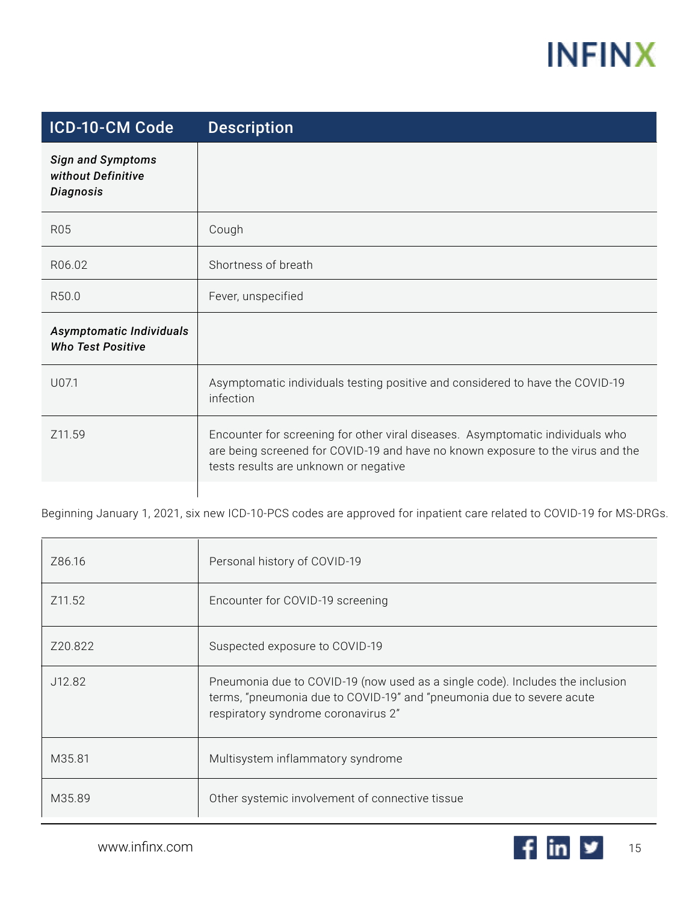| ICD-10-CM Code                                              | <b>Description</b>                                                                                                                                                                                         |
|-------------------------------------------------------------|------------------------------------------------------------------------------------------------------------------------------------------------------------------------------------------------------------|
| <b>Sign and Symptoms</b><br>without Definitive<br>Diagnosis |                                                                                                                                                                                                            |
| <b>R05</b>                                                  | Cough                                                                                                                                                                                                      |
| R06.02                                                      | Shortness of breath                                                                                                                                                                                        |
| R50.0                                                       | Fever, unspecified                                                                                                                                                                                         |
| Asymptomatic Individuals<br><b>Who Test Positive</b>        |                                                                                                                                                                                                            |
| U07.1                                                       | Asymptomatic individuals testing positive and considered to have the COVID-19<br>infection                                                                                                                 |
| Z <sub>11.59</sub>                                          | Encounter for screening for other viral diseases. Asymptomatic individuals who<br>are being screened for COVID-19 and have no known exposure to the virus and the<br>tests results are unknown or negative |
|                                                             |                                                                                                                                                                                                            |

Beginning January 1, 2021, six new ICD-10-PCS codes are approved for inpatient care related to COVID-19 for MS-DRGs.

| Z86.16             | Personal history of COVID-19                                                                                                                                                                  |
|--------------------|-----------------------------------------------------------------------------------------------------------------------------------------------------------------------------------------------|
| Z <sub>11.52</sub> | Encounter for COVID-19 screening                                                                                                                                                              |
| Z20.822            | Suspected exposure to COVID-19                                                                                                                                                                |
| J12.82             | Pneumonia due to COVID-19 (now used as a single code). Includes the inclusion<br>terms, "pneumonia due to COVID-19" and "pneumonia due to severe acute<br>respiratory syndrome coronavirus 2" |
| M35.81             | Multisystem inflammatory syndrome                                                                                                                                                             |
| M35.89             | Other systemic involvement of connective tissue                                                                                                                                               |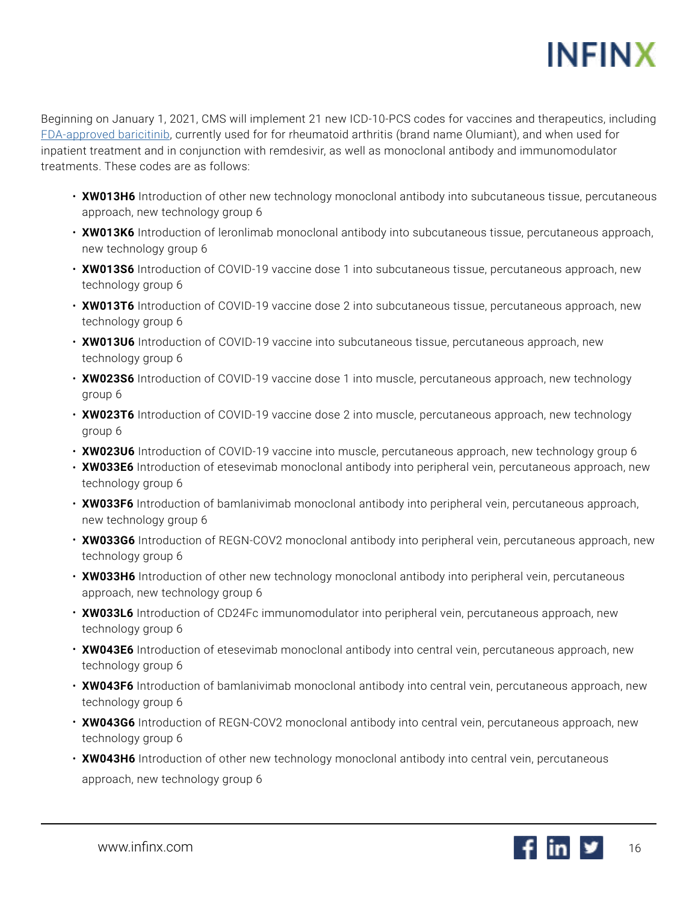

Beginning on January 1, 2021, CMS will implement 21 new ICD-10-PCS codes for vaccines and therapeutics, including [FDA-approved baricitinib](https://www.fda.gov/news-events/press-announcements/coronavirus-covid-19-update-fda-authorizes-drug-combination-treatment-covid-19), currently used for for rheumatoid arthritis (brand name Olumiant), and when used for inpatient treatment and in conjunction with remdesivir, as well as monoclonal antibody and immunomodulator treatments. These codes are as follows:

- **XW013H6** Introduction of other new technology monoclonal antibody into subcutaneous tissue, percutaneous approach, new technology group 6
- **XW013K6** Introduction of leronlimab monoclonal antibody into subcutaneous tissue, percutaneous approach, new technology group 6
- **· XW013S6** Introduction of COVID-19 vaccine dose 1 into subcutaneous tissue, percutaneous approach, new technology group 6
- **· XW013T6** Introduction of COVID-19 vaccine dose 2 into subcutaneous tissue, percutaneous approach, new technology group 6
- **· XW013U6** Introduction of COVID-19 vaccine into subcutaneous tissue, percutaneous approach, new technology group 6
- **· XW023S6** Introduction of COVID-19 vaccine dose 1 into muscle, percutaneous approach, new technology group 6
- **· XW023T6** Introduction of COVID-19 vaccine dose 2 into muscle, percutaneous approach, new technology group 6
- **· XW023U6** Introduction of COVID-19 vaccine into muscle, percutaneous approach, new technology group 6
- **XW033E6** Introduction of etesevimab monoclonal antibody into peripheral vein, percutaneous approach, new •technology group 6
- **XW033F6** Introduction of bamlanivimab monoclonal antibody into peripheral vein, percutaneous approach, new technology group 6
- **XW033G6** Introduction of REGN-COV2 monoclonal antibody into peripheral vein, percutaneous approach, new technology group 6
- **XW033H6** Introduction of other new technology monoclonal antibody into peripheral vein, percutaneous approach, new technology group 6
- **· XW033L6** Introduction of CD24Fc immunomodulator into peripheral vein, percutaneous approach, new technology group 6
- **XW043E6** Introduction of etesevimab monoclonal antibody into central vein, percutaneous approach, new technology group 6
- **XW043F6** Introduction of bamlanivimab monoclonal antibody into central vein, percutaneous approach, new technology group 6
- **· XW043G6** Introduction of REGN-COV2 monoclonal antibody into central vein, percutaneous approach, new technology group 6
- **XW043H6** Introduction of other new technology monoclonal antibody into central vein, percutaneous approach, new technology group 6

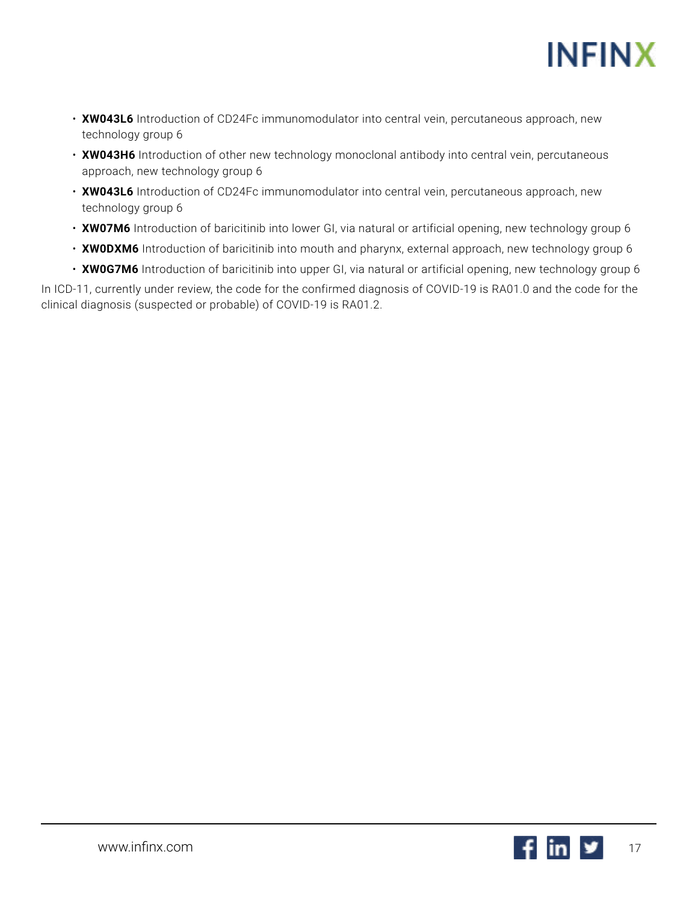

- **XW043L6** Introduction of CD24Fc immunomodulator into central vein, percutaneous approach, new technology group 6
- **XW043H6** Introduction of other new technology monoclonal antibody into central vein, percutaneous approach, new technology group 6
- **XW043L6** Introduction of CD24Fc immunomodulator into central vein, percutaneous approach, new technology group 6
- **XW07M6** Introduction of baricitinib into lower GI, via natural or artificial opening, new technology group 6 •
- **· XW0DXM6** Introduction of baricitinib into mouth and pharynx, external approach, new technology group 6
- **XW0G7M6** Introduction of baricitinib into upper GI, via natural or artificial opening, new technology group 6 •

In ICD-11, currently under review, the code for the confirmed diagnosis of COVID-19 is RA01.0 and the code for the clinical diagnosis (suspected or probable) of COVID-19 is RA01.2.